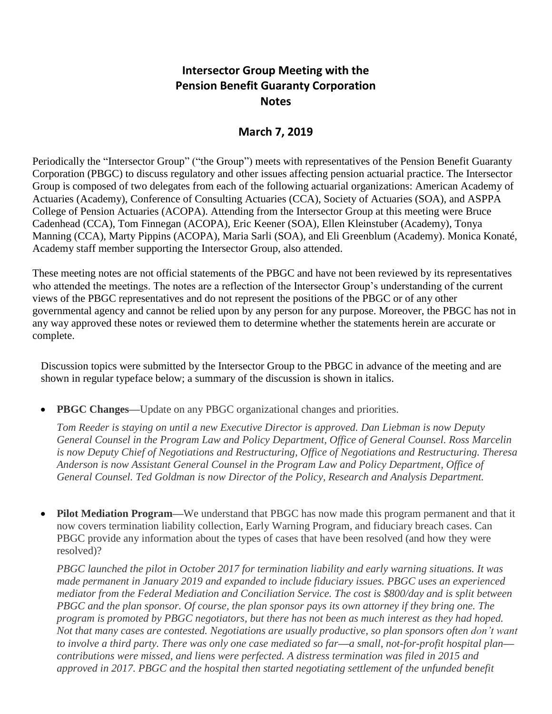# **Intersector Group Meeting with the Pension Benefit Guaranty Corporation Notes**

## **March 7, 2019**

Periodically the "Intersector Group" ("the Group") meets with representatives of the Pension Benefit Guaranty Corporation (PBGC) to discuss regulatory and other issues affecting pension actuarial practice. The Intersector Group is composed of two delegates from each of the following actuarial organizations: American Academy of Actuaries (Academy), Conference of Consulting Actuaries (CCA), Society of Actuaries (SOA), and ASPPA College of Pension Actuaries (ACOPA). Attending from the Intersector Group at this meeting were Bruce Cadenhead (CCA), Tom Finnegan (ACOPA), Eric Keener (SOA), Ellen Kleinstuber (Academy), Tonya Manning (CCA), Marty Pippins (ACOPA), Maria Sarli (SOA), and Eli Greenblum (Academy). Monica Konaté, Academy staff member supporting the Intersector Group, also attended.

These meeting notes are not official statements of the PBGC and have not been reviewed by its representatives who attended the meetings. The notes are a reflection of the Intersector Group's understanding of the current views of the PBGC representatives and do not represent the positions of the PBGC or of any other governmental agency and cannot be relied upon by any person for any purpose. Moreover, the PBGC has not in any way approved these notes or reviewed them to determine whether the statements herein are accurate or complete.

Discussion topics were submitted by the Intersector Group to the PBGC in advance of the meeting and are shown in regular typeface below; a summary of the discussion is shown in italics.

• **PBGC Changes—**Update on any PBGC organizational changes and priorities.

*Tom Reeder is staying on until a new Executive Director is approved. Dan Liebman is now Deputy General Counsel in the Program Law and Policy Department, Office of General Counsel. Ross Marcelin is now Deputy Chief of Negotiations and Restructuring, Office of Negotiations and Restructuring. Theresa Anderson is now Assistant General Counsel in the Program Law and Policy Department, Office of General Counsel. Ted Goldman is now Director of the Policy, Research and Analysis Department.*

• **Pilot Mediation Program—**We understand that PBGC has now made this program permanent and that it now covers termination liability collection, Early Warning Program, and fiduciary breach cases. Can PBGC provide any information about the types of cases that have been resolved (and how they were resolved)?

*PBGC launched the pilot in October 2017 for termination liability and early warning situations. It was made permanent in January 2019 and expanded to include fiduciary issues. PBGC uses an experienced mediator from the Federal Mediation and Conciliation Service. The cost is \$800/day and is split between PBGC and the plan sponsor. Of course, the plan sponsor pays its own attorney if they bring one. The program is promoted by PBGC negotiators, but there has not been as much interest as they had hoped. Not that many cases are contested. Negotiations are usually productive, so plan sponsors often don't want to involve a third party. There was only one case mediated so far***—***a small, not-for-profit hospital plan* *contributions were missed, and liens were perfected. A distress termination was filed in 2015 and approved in 2017. PBGC and the hospital then started negotiating settlement of the unfunded benefit*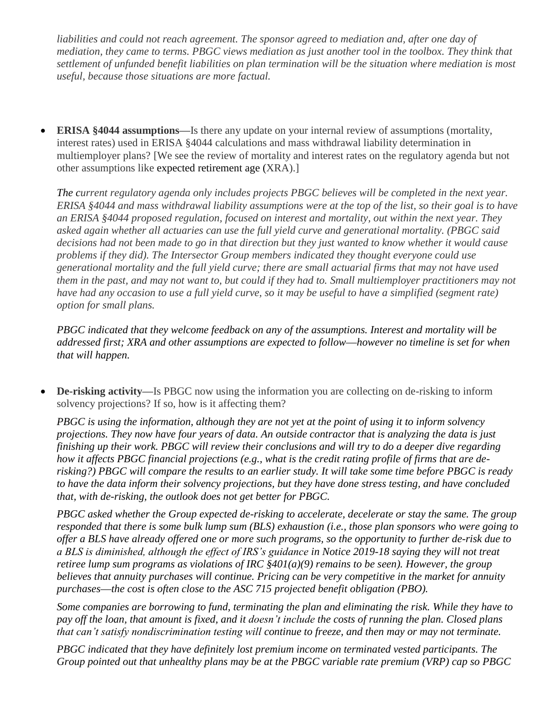*liabilities and could not reach agreement. The sponsor agreed to mediation and, after one day of mediation, they came to terms. PBGC views mediation as just another tool in the toolbox. They think that settlement of unfunded benefit liabilities on plan termination will be the situation where mediation is most useful, because those situations are more factual.*

• **ERISA §4044 assumptions—**Is there any update on your internal review of assumptions (mortality, interest rates) used in ERISA §4044 calculations and mass withdrawal liability determination in multiemployer plans? [We see the review of mortality and interest rates on the regulatory agenda but not other assumptions like expected retirement age (XRA).]

*The current regulatory agenda only includes projects PBGC believes will be completed in the next year. ERISA §4044 and mass withdrawal liability assumptions were at the top of the list, so their goal is to have an ERISA §4044 proposed regulation, focused on interest and mortality, out within the next year. They asked again whether all actuaries can use the full yield curve and generational mortality. (PBGC said decisions had not been made to go in that direction but they just wanted to know whether it would cause problems if they did). The Intersector Group members indicated they thought everyone could use generational mortality and the full yield curve; there are small actuarial firms that may not have used them in the past, and may not want to, but could if they had to. Small multiemployer practitioners may not*  have had any occasion to use a full yield curve, so it may be useful to have a simplified (segment rate) *option for small plans.*

*PBGC indicated that they welcome feedback on any of the assumptions. Interest and mortality will be addressed first; XRA and other assumptions are expected to follow***—***however no timeline is set for when that will happen.*

• **De-risking activity—**Is PBGC now using the information you are collecting on de-risking to inform solvency projections? If so, how is it affecting them?

*PBGC is using the information, although they are not yet at the point of using it to inform solvency projections. They now have four years of data. An outside contractor that is analyzing the data is just finishing up their work. PBGC will review their conclusions and will try to do a deeper dive regarding how it affects PBGC financial projections (e.g., what is the credit rating profile of firms that are derisking?) PBGC will compare the results to an earlier study. It will take some time before PBGC is ready to have the data inform their solvency projections, but they have done stress testing, and have concluded that, with de-risking, the outlook does not get better for PBGC.*

*PBGC asked whether the Group expected de-risking to accelerate, decelerate or stay the same. The group responded that there is some bulk lump sum (BLS) exhaustion (i.e., those plan sponsors who were going to offer a BLS have already offered one or more such programs, so the opportunity to further de-risk due to a BLS is diminished, although the effect of IRS's guidance in Notice 2019-18 saying they will not treat retiree lump sum programs as violations of IRC §401(a)(9) remains to be seen). However, the group believes that annuity purchases will continue. Pricing can be very competitive in the market for annuity purchases***—***the cost is often close to the ASC 715 projected benefit obligation (PBO).*

*Some companies are borrowing to fund, terminating the plan and eliminating the risk. While they have to pay off the loan, that amount is fixed, and it doesn't include the costs of running the plan. Closed plans that can't satisfy nondiscrimination testing will continue to freeze, and then may or may not terminate.*

*PBGC indicated that they have definitely lost premium income on terminated vested participants. The Group pointed out that unhealthy plans may be at the PBGC variable rate premium (VRP) cap so PBGC*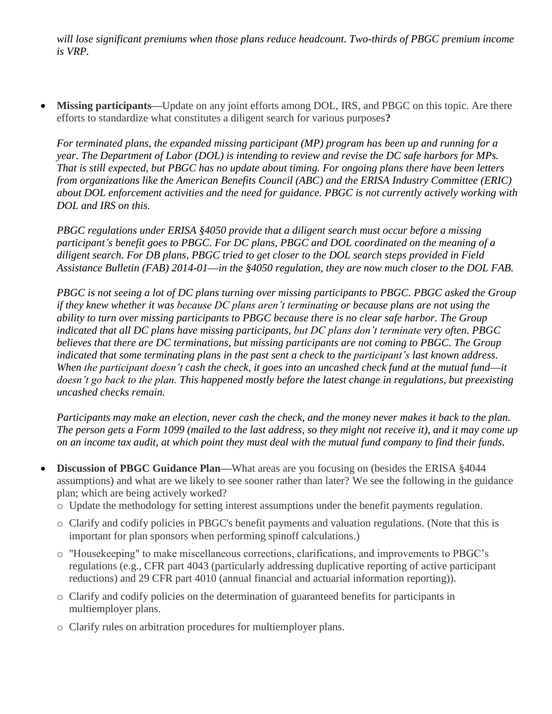*will lose significant premiums when those plans reduce headcount. Two-thirds of PBGC premium income is VRP.*

• **Missing participants—**Update on any joint efforts among DOL, IRS, and PBGC on this topic. Are there efforts to standardize what constitutes a diligent search for various purposes**?**

*For terminated plans, the expanded missing participant (MP) program has been up and running for a year. The Department of Labor (DOL) is intending to review and revise the DC safe harbors for MPs. That is still expected, but PBGC has no update about timing. For ongoing plans there have been letters from organizations like the American Benefits Council (ABC) and the ERISA Industry Committee (ERIC) about DOL enforcement activities and the need for guidance. PBGC is not currently actively working with DOL and IRS on this.*

*PBGC regulations under ERISA §4050 provide that a diligent search must occur before a missing participant's benefit goes to PBGC. For DC plans, PBGC and DOL coordinated on the meaning of a diligent search. For DB plans, PBGC tried to get closer to the DOL search steps provided in Field Assistance Bulletin (FAB) 2014-01***—***in the §4050 regulation, they are now much closer to the DOL FAB.*

*PBGC is not seeing a lot of DC plans turning over missing participants to PBGC. PBGC asked the Group if they knew whether it was because DC plans aren't terminating or because plans are not using the ability to turn over missing participants to PBGC because there is no clear safe harbor. The Group indicated that all DC plans have missing participants, but DC plans don't terminate very often. PBGC believes that there are DC terminations, but missing participants are not coming to PBGC. The Group indicated that some terminating plans in the past sent a check to the participant's last known address. When the participant doesn't cash the check, it goes into an uncashed check fund at the mutual fund***—***it doesn't go back to the plan. This happened mostly before the latest change in regulations, but preexisting uncashed checks remain.*

*Participants may make an election, never cash the check, and the money never makes it back to the plan. The person gets a Form 1099 (mailed to the last address, so they might not receive it), and it may come up on an income tax audit, at which point they must deal with the mutual fund company to find their funds.*

- **Discussion of PBGC Guidance Plan—**What areas are you focusing on (besides the ERISA §4044 assumptions) and what are we likely to see sooner rather than later? We see the following in the guidance plan; which are being actively worked?
	- o Update the methodology for setting interest assumptions under the benefit payments regulation.
	- o Clarify and codify policies in PBGC's benefit payments and valuation regulations. (Note that this is important for plan sponsors when performing spinoff calculations.)
	- o "Housekeeping" to make miscellaneous corrections, clarifications, and improvements to PBGC's regulations (e.g., CFR part 4043 (particularly addressing duplicative reporting of active participant reductions) and 29 CFR part 4010 (annual financial and actuarial information reporting)).
	- o Clarify and codify policies on the determination of guaranteed benefits for participants in multiemployer plans.
	- o Clarify rules on arbitration procedures for multiemployer plans.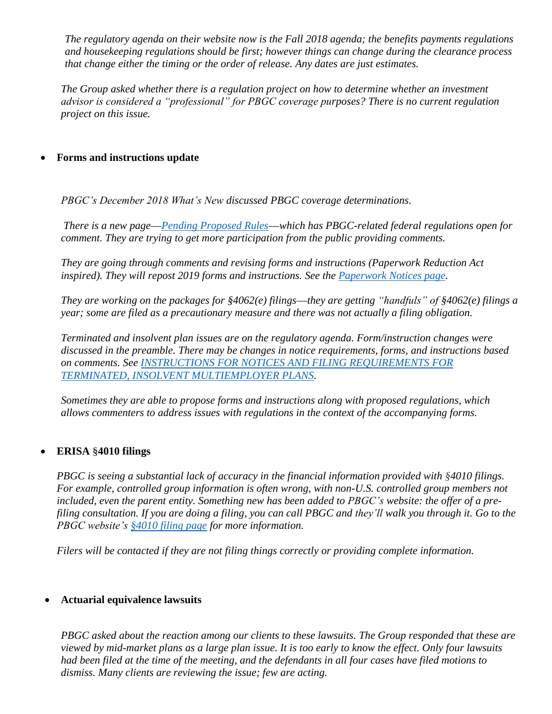*The regulatory agenda on their website now is the Fall 2018 agenda; the benefits payments regulations and housekeeping regulations should be first; however things can change during the clearance process that change either the timing or the order of release. Any dates are just estimates.*

*The Group asked whether there is a regulation project on how to determine whether an investment advisor is considered a "professional" for PBGC coverage purposes? There is no current regulation project on this issue.*

### • **Forms and instructions update**

*PBGC's December 2018 What's New discussed PBGC coverage determinations.*

*There is a new page***—***[Pending Proposed Rules](https://www.pbgc.gov/prac/pg/other/guidance/pending-proposed-rules)***—***which has PBGC-related federal regulations open for comment. They are trying to get more participation from the public providing comments.*

*They are going through comments and revising forms and instructions (Paperwork Reduction Act inspired). They will repost 2019 forms and instructions. See the [Paperwork Notices page.](https://www.pbgc.gov/prac/pg/other/guidance/paperwork-notices)*

*They are working on the packages for §4062(e) filings***—***they are getting "handfuls" of §4062(e) filings a year; some are filed as a precautionary measure and there was not actually a filing obligation.*

*Terminated and insolvent plan issues are on the regulatory agenda. Form/instruction changes were discussed in the preamble. There may be changes in notice requirements, forms, and instructions based on comments. See [INSTRUCTIONS FOR NOTICES AND FILING REQUIREMENTS FOR](https://www.pbgc.gov/sites/default/files/ppsd-terminated-insolvent-reg-instructions-7-11-18.pdf)  [TERMINATED, INSOLVENT MULTIEMPLOYER PLANS.](https://www.pbgc.gov/sites/default/files/ppsd-terminated-insolvent-reg-instructions-7-11-18.pdf)*

*Sometimes they are able to propose forms and instructions along with proposed regulations, which allows commenters to address issues with regulations in the context of the accompanying forms.*

### • **ERISA §4010 filings**

*PBGC is seeing a substantial lack of accuracy in the financial information provided with §4010 filings. For example, controlled group information is often wrong, with non-U.S. controlled group members not included, even the parent entity. Something new has been added to PBGC's website: the offer of a prefiling consultation. If you are doing a filing, you can call PBGC and they'll walk you through it. Go to the PBGC website's [§4010 filing page](https://www.pbgc.gov/prac/reporting-and-disclosure/4010-reporting) for more information.*

*Filers will be contacted if they are not filing things correctly or providing complete information.*

### • **Actuarial equivalence lawsuits**

*PBGC asked about the reaction among our clients to these lawsuits. The Group responded that these are viewed by mid-market plans as a large plan issue. It is too early to know the effect. Only four lawsuits had been filed at the time of the meeting, and the defendants in all four cases have filed motions to dismiss. Many clients are reviewing the issue; few are acting.*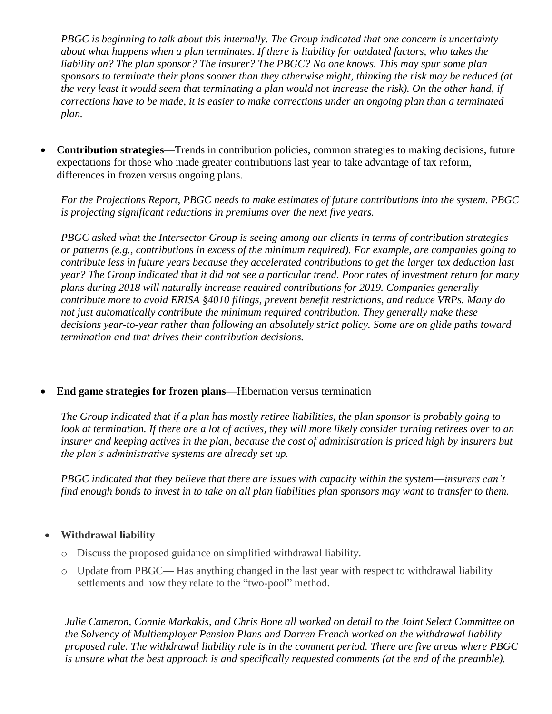*PBGC is beginning to talk about this internally. The Group indicated that one concern is uncertainty about what happens when a plan terminates. If there is liability for outdated factors, who takes the liability on? The plan sponsor? The insurer? The PBGC? No one knows. This may spur some plan sponsors to terminate their plans sooner than they otherwise might, thinking the risk may be reduced (at the very least it would seem that terminating a plan would not increase the risk). On the other hand, if corrections have to be made, it is easier to make corrections under an ongoing plan than a terminated plan.*

• **Contribution strategies—**Trends in contribution policies, common strategies to making decisions, future expectations for those who made greater contributions last year to take advantage of tax reform, differences in frozen versus ongoing plans.

*For the Projections Report, PBGC needs to make estimates of future contributions into the system. PBGC is projecting significant reductions in premiums over the next five years.* 

*PBGC asked what the Intersector Group is seeing among our clients in terms of contribution strategies or patterns (e.g., contributions in excess of the minimum required). For example, are companies going to contribute less in future years because they accelerated contributions to get the larger tax deduction last year? The Group indicated that it did not see a particular trend. Poor rates of investment return for many plans during 2018 will naturally increase required contributions for 2019. Companies generally contribute more to avoid ERISA §4010 filings, prevent benefit restrictions, and reduce VRPs. Many do not just automatically contribute the minimum required contribution. They generally make these decisions year-to-year rather than following an absolutely strict policy. Some are on glide paths toward termination and that drives their contribution decisions.*

### • **End game strategies for frozen plans—**Hibernation versus termination

*The Group indicated that if a plan has mostly retiree liabilities, the plan sponsor is probably going to look at termination. If there are a lot of actives, they will more likely consider turning retirees over to an insurer and keeping actives in the plan, because the cost of administration is priced high by insurers but the plan's administrative systems are already set up.*

*PBGC indicated that they believe that there are issues with capacity within the system***—***insurers can't find enough bonds to invest in to take on all plan liabilities plan sponsors may want to transfer to them.*

### • **Withdrawal liability**

- o Discuss the proposed guidance on simplified withdrawal liability.
- o Update from PBGC**—** Has anything changed in the last year with respect to withdrawal liability settlements and how they relate to the "two-pool" method.

*Julie Cameron, Connie Markakis, and Chris Bone all worked on detail to the Joint Select Committee on the Solvency of Multiemployer Pension Plans and Darren French worked on the withdrawal liability proposed rule. The withdrawal liability rule is in the comment period. There are five areas where PBGC is unsure what the best approach is and specifically requested comments (at the end of the preamble).*